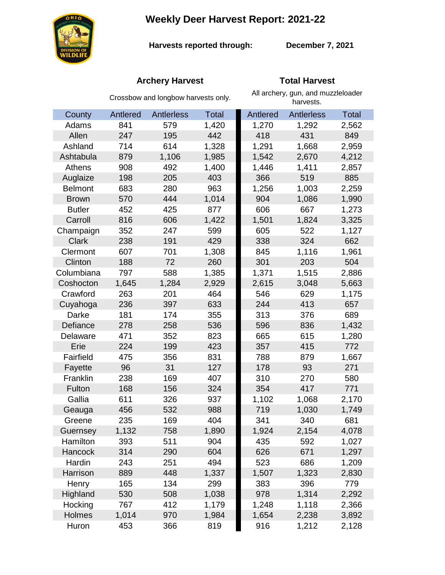**Weekly Deer Harvest Report: 2021-22**



**Harvests reported through:** 

**December 7, 2021**

# **Archery Harvest Total Harvest**

|                | Crossbow and longbow harvests only. |            |              | All archery, gun, and muzzleloader<br>harvests. |                   |              |
|----------------|-------------------------------------|------------|--------------|-------------------------------------------------|-------------------|--------------|
| County         | Antlered                            | Antlerless | <b>Total</b> | Antlered                                        | <b>Antlerless</b> | <b>Total</b> |
| Adams          | 841                                 | 579        | 1,420        | 1,270                                           | 1,292             | 2,562        |
| Allen          | 247                                 | 195        | 442          | 418                                             | 431               | 849          |
| Ashland        | 714                                 | 614        | 1,328        | 1,291                                           | 1,668             | 2,959        |
| Ashtabula      | 879                                 | 1,106      | 1,985        | 1,542                                           | 2,670             | 4,212        |
| Athens         | 908                                 | 492        | 1,400        | 1,446                                           | 1,411             | 2,857        |
| Auglaize       | 198                                 | 205        | 403          | 366                                             | 519               | 885          |
| <b>Belmont</b> | 683                                 | 280        | 963          | 1,256                                           | 1,003             | 2,259        |
| <b>Brown</b>   | 570                                 | 444        | 1,014        | 904                                             | 1,086             | 1,990        |
| <b>Butler</b>  | 452                                 | 425        | 877          | 606                                             | 667               | 1,273        |
| Carroll        | 816                                 | 606        | 1,422        | 1,501                                           | 1,824             | 3,325        |
| Champaign      | 352                                 | 247        | 599          | 605                                             | 522               | 1,127        |
| <b>Clark</b>   | 238                                 | 191        | 429          | 338                                             | 324               | 662          |
| Clermont       | 607                                 | 701        | 1,308        | 845                                             | 1,116             | 1,961        |
| Clinton        | 188                                 | 72         | 260          | 301                                             | 203               | 504          |
| Columbiana     | 797                                 | 588        | 1,385        | 1,371                                           | 1,515             | 2,886        |
| Coshocton      | 1,645                               | 1,284      | 2,929        | 2,615                                           | 3,048             | 5,663        |
| Crawford       | 263                                 | 201        | 464          | 546                                             | 629               | 1,175        |
| Cuyahoga       | 236                                 | 397        | 633          | 244                                             | 413               | 657          |
| Darke          | 181                                 | 174        | 355          | 313                                             | 376               | 689          |
| Defiance       | 278                                 | 258        | 536          | 596                                             | 836               | 1,432        |
| Delaware       | 471                                 | 352        | 823          | 665                                             | 615               | 1,280        |
| Erie           | 224                                 | 199        | 423          | 357                                             | 415               | 772          |
| Fairfield      | 475                                 | 356        | 831          | 788                                             | 879               | 1,667        |
| Fayette        | 96                                  | 31         | 127          | 178                                             | 93                | 271          |
| Franklin       | 238                                 | 169        | 407          | 310                                             | 270               | 580          |
| Fulton         | 168                                 | 156        | 324          | 354                                             | 417               | 771          |
| Gallia         | 611                                 | 326        | 937          | 1,102                                           | 1,068             | 2,170        |
| Geauga         | 456                                 | 532        | 988          | 719                                             | 1,030             | 1,749        |
| Greene         | 235                                 | 169        | 404          | 341                                             | 340               | 681          |
| Guernsey       | 1,132                               | 758        | 1,890        | 1,924                                           | 2,154             | 4,078        |
| Hamilton       | 393                                 | 511        | 904          | 435                                             | 592               | 1,027        |
| Hancock        | 314                                 | 290        | 604          | 626                                             | 671               | 1,297        |
| Hardin         | 243                                 | 251        | 494          | 523                                             | 686               | 1,209        |
| Harrison       | 889                                 | 448        | 1,337        | 1,507                                           | 1,323             | 2,830        |
| Henry          | 165                                 | 134        | 299          | 383                                             | 396               | 779          |
| Highland       | 530                                 | 508        | 1,038        | 978                                             | 1,314             | 2,292        |
| Hocking        | 767                                 | 412        | 1,179        | 1,248                                           | 1,118             | 2,366        |
| Holmes         | 1,014                               | 970        | 1,984        | 1,654                                           | 2,238             | 3,892        |
| Huron          | 453                                 | 366        | 819          | 916                                             | 1,212             | 2,128        |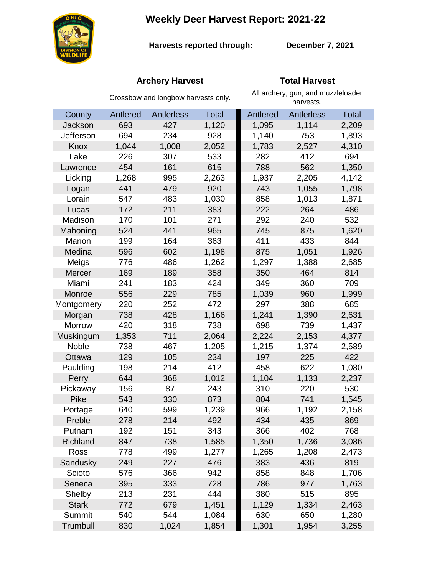**Weekly Deer Harvest Report: 2021-22**



**Harvests reported through:** 

**December 7, 2021**

# **Archery Harvest Total Harvest**

|               | Crossbow and longbow harvests only. |                   |              | All archery, gun, and muzzleloader<br>harvests. |                   |              |  |
|---------------|-------------------------------------|-------------------|--------------|-------------------------------------------------|-------------------|--------------|--|
| County        | Antlered                            | <b>Antlerless</b> | <b>Total</b> | Antlered                                        | <b>Antlerless</b> | <b>Total</b> |  |
| Jackson       | 693                                 | 427               | 1,120        | 1,095                                           | 1,114             | 2,209        |  |
| Jefferson     | 694                                 | 234               | 928          | 1,140                                           | 753               | 1,893        |  |
| Knox          | 1,044                               | 1,008             | 2,052        | 1,783                                           | 2,527             | 4,310        |  |
| Lake          | 226                                 | 307               | 533          | 282                                             | 412               | 694          |  |
| Lawrence      | 454                                 | 161               | 615          | 788                                             | 562               | 1,350        |  |
| Licking       | 1,268                               | 995               | 2,263        | 1,937                                           | 2,205             | 4,142        |  |
| Logan         | 441                                 | 479               | 920          | 743                                             | 1,055             | 1,798        |  |
| Lorain        | 547                                 | 483               | 1,030        | 858                                             | 1,013             | 1,871        |  |
| Lucas         | 172                                 | 211               | 383          | 222                                             | 264               | 486          |  |
| Madison       | 170                                 | 101               | 271          | 292                                             | 240               | 532          |  |
| Mahoning      | 524                                 | 441               | 965          | 745                                             | 875               | 1,620        |  |
| Marion        | 199                                 | 164               | 363          | 411                                             | 433               | 844          |  |
| Medina        | 596                                 | 602               | 1,198        | 875                                             | 1,051             | 1,926        |  |
| Meigs         | 776                                 | 486               | 1,262        | 1,297                                           | 1,388             | 2,685        |  |
| Mercer        | 169                                 | 189               | 358          | 350                                             | 464               | 814          |  |
| Miami         | 241                                 | 183               | 424          | 349                                             | 360               | 709          |  |
| Monroe        | 556                                 | 229               | 785          | 1,039                                           | 960               | 1,999        |  |
| Montgomery    | 220                                 | 252               | 472          | 297                                             | 388               | 685          |  |
| Morgan        | 738                                 | 428               | 1,166        | 1,241                                           | 1,390             | 2,631        |  |
| <b>Morrow</b> | 420                                 | 318               | 738          | 698                                             | 739               | 1,437        |  |
| Muskingum     | 1,353                               | 711               | 2,064        | 2,224                                           | 2,153             | 4,377        |  |
| Noble         | 738                                 | 467               | 1,205        | 1,215                                           | 1,374             | 2,589        |  |
| Ottawa        | 129                                 | 105               | 234          | 197                                             | 225               | 422          |  |
| Paulding      | 198                                 | 214               | 412          | 458                                             | 622               | 1,080        |  |
| Perry         | 644                                 | 368               | 1,012        | 1,104                                           | 1,133             | 2,237        |  |
| Pickaway      | 156                                 | 87                | 243          | 310                                             | 220               | 530          |  |
| Pike          | 543                                 | 330               | 873          | 804                                             | 741               | 1,545        |  |
| Portage       | 640                                 | 599               | 1,239        | 966                                             | 1,192             | 2,158        |  |
| Preble        | 278                                 | 214               | 492          | 434                                             | 435               | 869          |  |
| Putnam        | 192                                 | 151               | 343          | 366                                             | 402               | 768          |  |
| Richland      | 847                                 | 738               | 1,585        | 1,350                                           | 1,736             | 3,086        |  |
| Ross          | 778                                 | 499               | 1,277        | 1,265                                           | 1,208             | 2,473        |  |
| Sandusky      | 249                                 | 227               | 476          | 383                                             | 436               | 819          |  |
| Scioto        | 576                                 | 366               | 942          | 858                                             | 848               | 1,706        |  |
| Seneca        | 395                                 | 333               | 728          | 786                                             | 977               | 1,763        |  |
| Shelby        | 213                                 | 231               | 444          | 380                                             | 515               | 895          |  |
| <b>Stark</b>  | 772                                 | 679               | 1,451        | 1,129                                           | 1,334             | 2,463        |  |
| Summit        | 540                                 | 544               | 1,084        | 630                                             | 650               | 1,280        |  |
| Trumbull      | 830                                 | 1,024             | 1,854        | 1,301                                           | 1,954             | 3,255        |  |